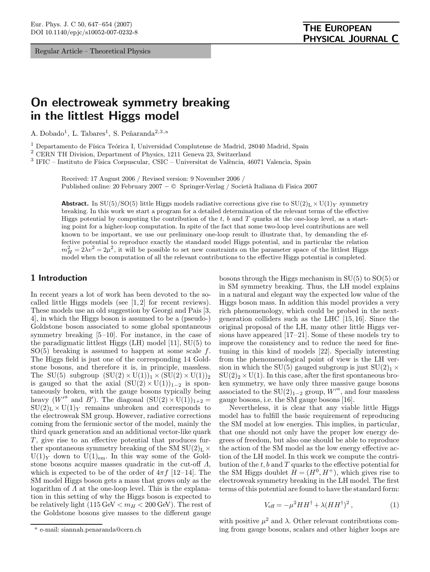Regular Article – Theoretical Physics

# On electroweak symmetry breaking in the littlest Higgs model

A. Dobado<sup>1</sup>, L. Tabares<sup>1</sup>, S. Peñaranda<sup>2,3,a</sup>

 $^1$  Departamento de Física Teórica I, Universidad Complutense de Madrid, 28040 Madrid, Spain

<sup>2</sup> CERN TH Division, Department of Physics, 1211 Geneva 23, Switzerland

 $3$  IFIC – Instituto de Física Corpuscular, CSIC – Universitat de València, 46071 Valencia, Spain

Received: 17 August 2006 / Revised version: 9 November 2006 / Published online: 20 February 2007 − © Springer-Verlag / Società Italiana di Fisica 2007

**Abstract.** In SU(5)/SO(5) little Higgs models radiative corrections give rise to  $SU(2)_{L} \times U(1)_{Y}$  symmetry breaking. In this work we start a program for a detailed determination of the relevant terms of the effective Higgs potential by computing the contribution of the  $t$ ,  $b$  and  $T$  quarks at the one-loop level, as a starting point for a higher-loop computation. In spite of the fact that some two-loop level contributions are well known to be important, we use our preliminary one-loop result to illustrate that, by demanding the effective potential to reproduce exactly the standard model Higgs potential, and in particular the relation  $m_H^2 = 2\lambda v^2 = 2\mu^2$ , it will be possible to set new constraints on the parameter space of the littlest Higgs model when the computation of all the relevant contributions to the effective Higgs potential is completed.

### 1 Introduction

In recent years a lot of work has been devoted to the socalled little Higgs models (see [1, 2] for recent reviews). These models use an old suggestion by Georgi and Pais [3, 4], in which the Higgs boson is assumed to be a (pseudo-) Goldstone boson associated to some global spontaneous symmetry breaking [5–10]. For instance, in the case of the paradigmatic littlest Higgs (LH) model [11], SU(5) to  $SO(5)$  breaking is assumed to happen at some scale f. The Higgs field is just one of the corresponding 14 Goldstone bosons, and therefore it is, in principle, massless. The SU(5) subgroup  $(SU(2) \times U(1))_1 \times (SU(2) \times U(1))_2$ is gauged so that the axial  $(SU(2) \times U(1))_{1-2}$  is spontaneously broken, with the gauge bosons typically being heavy  $(W'^a$  and  $B')$ . The diagonal  $(SU(2) \times U(1))_{1+2} =$  $SU(2)_L \times U(1)_Y$  remains unbroken and corresponds to the electroweak SM group. However, radiative corrections coming from the fermionic sector of the model, mainly the third quark generation and an additional vector-like quark  $T$ , give rise to an effective potential that produces further spontaneous symmetry breaking of the SM  $SU(2)<sub>L</sub> \times$  $U(1)_Y$  down to  $U(1)_{em}$ . In this way some of the Goldstone bosons acquire masses quadratic in the cut-off  $\Lambda$ , which is expected to be of the order of  $4\pi f$  [12–14]. The SM model Higgs boson gets a mass that grows only as the logarithm of  $\Lambda$  at the one-loop level. This is the explanation in this setting of why the Higgs boson is expected to be relatively light  $(115 \text{ GeV} < m_H < 200 \text{ GeV})$ . The rest of the Goldstone bosons give masses to the different gauge

bosons through the Higgs mechanism in SU(5) to SO(5) or in SM symmetry breaking. Thus, the LH model explains in a natural and elegant way the expected low value of the Higgs boson mass. In addition this model provides a very rich phenomenology, which could be probed in the nextgeneration colliders such as the LHC [15, 16]. Since the original proposal of the LH, many other little Higgs versions have appeared [17–21]. Some of these models try to improve the consistency and to reduce the need for finetuning in this kind of models [22]. Specially interesting from the phenomenological point of view is the LH version in which the SU(5) gauged subgroup is just  $SU(2)_1 \times$  $SU(2)_2 \times U(1)$ . In this case, after the first spontaneous broken symmetry, we have only three massive gauge bosons associated to the SU(2)<sub>1-2</sub> group,  $W'^a$ , and four massless gauge bosons, i.e. the SM gauge bosons [16].

Nevertheless, it is clear that any viable little Higgs model has to fulfill the basic requirement of reproducing the SM model at low energies. This implies, in particular, that one should not only have the proper low energy degrees of freedom, but also one should be able to reproduce the action of the SM model as the low energy effective action of the LH model. In this work we compute the contribution of the  $t, b$  and  $T$  quarks to the effective potential for the SM Higgs doublet  $H = (H^0, H^+)$ , which gives rise to electroweak symmetry breaking in the LH model. The first terms of this potential are found to have the standard form:

$$
V_{\text{eff}} = -\mu^2 H H^\dagger + \lambda (H H^\dagger)^2 \,, \tag{1}
$$

with positive  $\mu^2$  and  $\lambda$ . Other relevant contributions coming from gauge bosons, scalars and other higher loops are

<sup>a</sup> e-mail: siannah.penaranda@cern.ch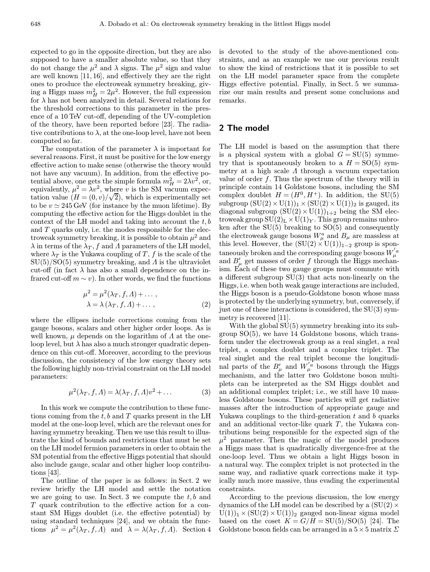expected to go in the opposite direction, but they are also supposed to have a smaller absolute value, so that they do not change the  $\mu^2$  and  $\lambda$  signs. The  $\mu^2$  sign and value are well known [11, 16], and effectively they are the right ones to produce the electroweak symmetry breaking, giving a Higgs mass  $m_H^2 = 2\mu^2$ . However, the full expression for  $\lambda$  has not been analyzed in detail. Several relations for the threshold corrections to this parameter in the presence of a 10 TeV cut-off, depending of the UV-completion of the theory, have been reported before [23]. The radiative contributions to  $\lambda$ , at the one-loop level, have not been computed so far.

The computation of the parameter  $\lambda$  is important for several reasons. First, it must be positive for the low energy effective action to make sense (otherwise the theory would not have any vacuum). In addition, from the effective potential above, one gets the simple formula  $m_H^2 = 2\lambda v^2$ , or, equivalently,  $\mu^2 = \lambda v^2$ , where v is the SM vacuum expecequivalently,  $\mu^2 = \lambda v^2$ , where<br>tation value  $(H = (0, v) / \sqrt{2})$ 2), which is experimentally set to be  $v \approx 245 \,\text{GeV}$  (for instance by the muon lifetime). By computing the effective action for the Higgs doublet in the context of the LH model and taking into account the  $t, b$ and  $T$  quarks only, i.e. the modes responsible for the electroweak symmetry breaking, it is possible to obtain  $\mu^2$  and  $\lambda$  in terms of the  $\lambda_T$ , f and  $\Lambda$  parameters of the LH model, where  $\lambda_T$  is the Yukawa coupling of T, f is the scale of the  $SU(5)/SO(5)$  symmetry breaking, and  $\Lambda$  is the ultraviolet cut-off (in fact  $\lambda$  has also a small dependence on the infrared cut-off  $m \sim v$ ). In other words, we find the functions

$$
\mu^{2} = \mu^{2}(\lambda_{T}, f, \Lambda) + \dots, \n\lambda = \lambda(\lambda_{T}, f, \Lambda) + \dots,
$$
\n(2)

where the ellipses include corrections coming from the gauge bosons, scalars and other higher order loops. As is well known,  $\mu$  depends on the logarithm of  $\Lambda$  at the oneloop level, but  $\lambda$  has also a much stronger quadratic dependence on this cut-off. Moreover, according to the previous discussion, the consistency of the low energy theory sets the following highly non-trivial constraint on the LH model parameters:

$$
\mu^2(\lambda_T, f, \Lambda) = \lambda(\lambda_T, f, \Lambda)v^2 + \dots \tag{3}
$$

In this work we compute the contribution to these functions coming from the  $t, b$  and  $T$  quarks present in the LH model at the one-loop level, which are the relevant ones for having symmetry breaking. Then we use this result to illustrate the kind of bounds and restrictions that must be set on the LH model fermion parameters in order to obtain the SM potential from the effective Higgs potential that should also include gauge, scalar and other higher loop contributions [43].

The outline of the paper is as follows: in Sect. 2 we review briefly the LH model and settle the notation we are going to use. In Sect. 3 we compute the  $t, b$  and T quark contribution to the effective action for a constant SM Higgs doublet (i.e. the effective potential) by using standard techniques [24], and we obtain the functions  $\mu^2 = \mu^2(\lambda_T, f, \Lambda)$  and  $\lambda = \lambda(\lambda_T, f, \Lambda)$ . Section 4 is devoted to the study of the above-mentioned constraints, and as an example we use our previous result to show the kind of restrictions that it is possible to set on the LH model parameter space from the complete Higgs effective potential. Finally, in Sect. 5 we summarize our main results and present some conclusions and remarks.

### 2 The model

The LH model is based on the assumption that there is a physical system with a global  $G = SU(5)$  symmetry that is spontaneously broken to a  $H = SO(5)$  symmetry at a high scale  $\Lambda$  through a vacuum expectation value of order  $f$ . Thus the spectrum of the theory will in principle contain 14 Goldstone bosons, including the SM complex doublet  $H = (H^0, H^+)$ . In addition, the SU(5) subgroup  $(SU(2) \times U(1))_1 \times (SU(2) \times U(1))_2$  is gauged, its diagonal subgroup  $(SU(2) \times U(1))_{1+2}$  being the SM electroweak group  $SU(2)_L \times U(1)_Y$ . This group remains unbroken after the SU(5) breaking to SO(5) and consequently the electroweak gauge bosons  $W_\mu^a$  and  $B_\mu$  are massless at this level. However, the  $(SU(2) \times U(1))_{1-2}$  group is spontaneously broken and the corresponding gauge bosons  $W_\mu^{'a}$ and  $B'_{\mu}$  get masses of order f through the Higgs mechanism. Each of these two gauge groups must commute with a different subgroup SU(3) that acts non-linearly on the Higgs, i.e. when both weak gauge interactions are included, the Higgs boson is a pseudo-Goldstone boson whose mass is protected by the underlying symmetry, but, conversely, if just one of these interactions is considered, the SU(3) symmetry is recovered [11].

With the global SU(5) symmetry breaking into its subgroup SO(5), we have 14 Goldstone bosons, which transform under the electroweak group as a real singlet, a real triplet, a complex doublet and a complex triplet. The real singlet and the real triplet become the longitudinal parts of the  $B'_{\mu}$  and  $W'^{a}_{\mu}$  bosons through the Higgs mechanism, and the latter two Goldstone boson multiplets can be interpreted as the SM Higgs doublet and an additional complex triplet; i.e., we still have 10 massless Goldstone bosons. These particles will get radiative masses after the introduction of appropriate gauge and Yukawa couplings to the third-generation  $t$  and  $b$  quarks and an additional vector-like quark  $T$ , the Yukawa contributions being responsible for the expected sign of the  $\mu^2$  parameter. Then the magic of the model produces a Higgs mass that is quadratically divergence-free at the one-loop level. Thus we obtain a light Higgs boson in a natural way. The complex triplet is not protected in the same way, and radiative quark corrections make it typically much more massive, thus evading the experimental constraints.

According to the previous discussion, the low energy dynamics of the LH model can be described by a  $(SU(2) \times$  $U(1)$ <sub>1</sub> × (SU(2) × U(1))<sub>2</sub> gauged non-linear sigma model based on the coset  $K = G/H = SU(5)/SO(5)$  [24]. The Goldstone boson fields can be arranged in a  $5 \times 5$  matrix  $\Sigma$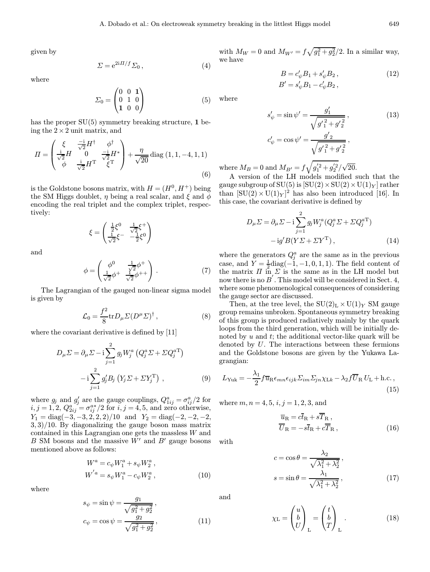given by

$$
\Sigma = e^{2i\Pi/f} \Sigma_0 \,, \tag{4}
$$

where

$$
\Sigma_0 = \begin{pmatrix} 0 & 0 & 1 \\ 0 & 1 & 0 \\ 1 & 0 & 0 \end{pmatrix} \tag{5}
$$

has the proper  $SU(5)$  symmetry breaking structure, 1 being the  $2 \times 2$  unit matrix, and

$$
\Pi = \begin{pmatrix} \xi & \frac{-\mathrm{i}}{\sqrt{2}} H^{\dagger} & \phi^{\dagger} \\ \frac{\mathrm{i}}{\sqrt{2}} H & 0 & \frac{-\mathrm{i}}{\sqrt{2}} H^* \\ \phi & \frac{\mathrm{i}}{\sqrt{2}} H^{\mathrm{T}} & \xi^{\mathrm{T}} \end{pmatrix} + \frac{\eta}{\sqrt{20}} \operatorname{diag} (1, 1, -4, 1, 1) \tag{6}
$$

is the Goldstone bosons matrix, with  $H = (H^0, H^+)$  being the SM Higgs doublet,  $\eta$  being a real scalar, and  $\xi$  and  $\phi$ encoding the real triplet and the complex triplet, respectively:

$$
\xi = \begin{pmatrix} \frac{1}{2}\xi^0 & \frac{1}{\sqrt{2}}\xi^+ \\ \frac{1}{\sqrt{2}}\xi^- & -\frac{1}{2}\xi^0 \end{pmatrix}
$$

and

$$
\phi = \begin{pmatrix} \phi^0 & \frac{1}{\sqrt{2}} \phi^+ \\ \frac{1}{\sqrt{2}} \phi^+ & \frac{1}{\sqrt{2}} \phi^{++} \end{pmatrix} . \tag{7}
$$

The Lagrangian of the gauged non-linear sigma model is given by

$$
\mathcal{L}_0 = \frac{f^2}{8} tr D_\mu \Sigma (D^\mu \Sigma)^\dagger , \qquad (8)
$$

where the covariant derivative is defined by [11]

$$
D_{\mu}\Sigma = \partial_{\mu}\Sigma - i\sum_{j=1}^{2} g_j W_j^a \left(Q_j^a \Sigma + \Sigma Q_j^{aT}\right)
$$

$$
- i\sum_{j=1}^{2} g_j' B_j \left(Y_j \Sigma + \Sigma Y_j^{T}\right), \qquad (9)
$$

where  $g_j$  and  $g'_j$  are the gauge couplings,  $Q_{1ij}^a = \sigma_{ij}^a/2$  for  $i, j = 1, 2, Q_{2ij}^a = \sigma_{ij}^{a*}/2$  for  $i, j = 4, 5$ , and zero otherwise,  $Y_1 = \text{diag}(-3, -3, 2, 2, 2)/10$  and  $Y_2 = \text{diag}(-2, -2, -2, 2)$ 3, 3)/10. By diagonalizing the gauge boson mass matrix contained in this Lagrangian one gets the massless W and  $B \text{ SM}$  bosons and the massive  $W'$  and  $B'$  gauge bosons mentioned above as follows:

$$
W^{a} = c_{\psi} W_{1}^{a} + s_{\psi} W_{2}^{a} ,
$$
  
\n
$$
W^{'a} = s_{\psi} W_{1}^{a} - c_{\psi} W_{2}^{a} ,
$$
\n(10)

where

$$
s_{\psi} = \sin \psi = \frac{g_1}{\sqrt{g_1^2 + g_2^2}},
$$
  
\n
$$
c_{\psi} = \cos \psi = \frac{g_2}{\sqrt{g_1^2 + g_2^2}},
$$
\n(11)

with  $M_W = 0$  and  $M_{W'} = f\sqrt{g_1^2 + g_2^2}/2$ . In a similar way, we have

$$
B = c'_{\psi} B_1 + s'_{\psi} B_2, \n B' = s'_{\psi} B_1 - c'_{\psi} B_2,
$$
\n(12)

where

$$
s'_{\psi} = \sin \psi' = \frac{g'_1}{\sqrt{g'_1{}^2 + g'_2}},
$$
\n
$$
c'_{\psi} = \cos \psi' = \frac{g'_2}{\sqrt{g'_1{}^2 + g'_2}},
$$
\n(13)

where  $M_B = 0$  and  $M_{B'} = f \sqrt{g_1^{'2} + g_2^{'2}} / \sqrt{ }$ 20.

A version of the LH models modified such that the gauge subgroup of  $SU(5)$  is  $[SU(2) \times SU(2) \times U(1)_Y]$  rather than  $[SU(2) \times U(1)_Y]^2$  has also been introduced [16]. In this case, the covariant derivative is defined by

$$
D_{\mu}\Sigma = \partial_{\mu}\Sigma - i\sum_{j=1}^{2} g_j W_j^a (Q_j^a \Sigma + \Sigma Q_j^{aT})
$$

$$
- ig' B(Y \Sigma + \Sigma Y^T), \qquad (14)
$$

where the generators  $Q_j^a$  are the same as in the previous case, and  $Y = \frac{1}{2} \text{diag}(-1, -1, 0, 1, 1)$ . The field content of the matrix  $\Pi$  in  $\Sigma$  is the same as in the LH model but now there is no  $B^{'}$  . This model will be considered in Sect. 4, where some phenomenological consequences of considering the gauge sector are discussed.

Then, at the tree level, the  $SU(2)_L \times U(1)_Y$  SM gauge group remains unbroken. Spontaneous symmetry breaking of this group is produced radiatively mainly by the quark loops from the third generation, which will be initially denoted by  $u$  and  $t$ ; the additional vector-like quark will be denoted by U. The interactions between these fermions and the Goldstone bosons are given by the Yukawa Lagrangian:

$$
L_{\text{Yuk}} = -\frac{\lambda_1}{2} f \overline{u}_{\text{R}} \epsilon_{mn} \epsilon_{ijk} \Sigma_{im} \Sigma_{jn} \chi_{\text{L}k} - \lambda_2 f \overline{U}_{\text{R}} U_{\text{L}} + \text{h.c.},\tag{15}
$$

where  $m, n = 4, 5, i, j = 1, 2, 3,$  and

$$
\overline{u}_{\rm R} = c\overline{t}_{\rm R} + s\overline{T}_{\rm R} ,\n\overline{U}_{\rm R} = -s\overline{t}_{\rm R} + c\overline{T}_{\rm R} ,
$$
\n(16)

with

$$
c = \cos \theta = \frac{\lambda_2}{\sqrt{\lambda_1^2 + \lambda_2^2}},
$$
  

$$
s = \sin \theta = \frac{\lambda_1}{\sqrt{\lambda_1^2 + \lambda_2^2}},
$$
 (17)

and

$$
\chi_{\mathcal{L}} = \begin{pmatrix} u \\ b \\ U \end{pmatrix}_{\mathcal{L}} = \begin{pmatrix} t \\ b \\ T \end{pmatrix}_{\mathcal{L}} . \tag{18}
$$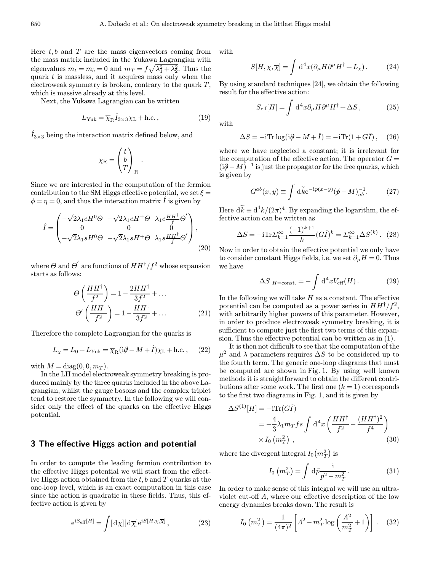Here  $t, b$  and  $T$  are the mass eigenvectors coming from the mass matrix included in the Yukawa Lagrangian with eigenvalues  $m_t = m_b = 0$  and  $m_T = f \sqrt{\lambda_1^2 + \lambda_2^2}$ . Thus the quark  $t$  is massless, and it acquires mass only when the electroweak symmetry is broken, contrary to the quark  $T$ , which is massive already at this level.

Next, the Yukawa Lagrangian can be written

$$
L_{\text{Yuk}} = \overline{\chi}_{\text{R}} \hat{I}_{3 \times 3} \chi_{\text{L}} + \text{h.c.},\tag{19}
$$

.

 $\hat{I}_{3\times 3}$  being the interaction matrix defined below, and

$$
\chi_{\rm R} = \begin{pmatrix} t \\ b \\ T \end{pmatrix}_{\rm R}
$$

Since we are interested in the computation of the fermion contribution to the SM Higgs effective potential, we set  $\xi =$  $\phi = \eta = 0$ , and thus the interaction matrix  $\hat{I}$  is given by

$$
\hat{I} = \begin{pmatrix}\n-\sqrt{2}\lambda_1 c H^0 \Theta & -\sqrt{2}\lambda_1 c H^+ \Theta & \lambda_1 c \frac{H H^{\dagger}}{f} \Theta' \\
0 & 0 & 0 \\
-\sqrt{2}\lambda_1 s H^0 \Theta & -\sqrt{2}\lambda_1 s H^+ \Theta & \lambda_1 s \frac{H H^{\dagger}}{f} \Theta'\n\end{pmatrix},
$$
\n(20)

where  $\Theta$  and  $\Theta^{'}$  are functions of  $HH^{\dagger}/f^2$  whose expansion starts as follows:

$$
\Theta\left(\frac{HH^{\dagger}}{f^2}\right) = 1 - \frac{2HH^{\dagger}}{3f^2} + \dots
$$

$$
\Theta'\left(\frac{HH^{\dagger}}{f^2}\right) = 1 - \frac{HH^{\dagger}}{3f^2} + \dots
$$
(21)

Therefore the complete Lagrangian for the quarks is

$$
L_{\chi} = L_0 + L_{\text{Yuk}} = \overline{\chi}_{\text{R}} (i\partial - M + \hat{I}) \chi_{\text{L}} + \text{h.c.}, \quad (22)
$$

with  $M = \text{diag}(0, 0, m_T)$ .

In the LH model electroweak symmetry breaking is produced mainly by the three quarks included in the above Lagrangian, whilst the gauge bosons and the complex triplet tend to restore the symmetry. In the following we will consider only the effect of the quarks on the effective Higgs potential.

## 3 The effective Higgs action and potential

In order to compute the leading fermion contribution to the effective Higgs potential we will start from the effective Higgs action obtained from the  $t, b$  and  $T$  quarks at the one-loop level, which is an exact computation in this case since the action is quadratic in these fields. Thus, this effective action is given by

$$
e^{iS_{\text{eff}}[H]} = \int [d\chi][d\overline{\chi}] e^{iS[H,\chi,\overline{\chi}]}, \qquad (23)
$$

with

$$
S[H, \chi, \overline{\chi}] = \int d^4x (\partial_{\mu} H \partial^{\mu} H^{\dagger} + L_{\chi}). \tag{24}
$$

By using standard techniques [24], we obtain the following result for the effective action:

$$
S_{\text{eff}}[H] = \int \mathrm{d}^4 x \partial_\mu H \partial^\mu H^\dagger + \Delta S \,, \tag{25}
$$

with

$$
\Delta S = -i \text{Tr} \log(i\partial - M + \hat{I}) = -i \text{Tr}(1 + G\hat{I}), \quad (26)
$$

where we have neglected a constant; it is irrelevant for the computation of the effective action. The operator  $G =$  $(i\partial - M)^{-1}$  is just the propagator for the free quarks, which is given by

$$
G^{ab}(x,y) \equiv \int d\widetilde{k} e^{-ip(x-y)} (\not p - M)^{-1}_{ab}.
$$
 (27)

Here  $d\tilde{k} \equiv d^4k/(2\pi)^4$ . By expanding the logarithm, the effective action can be written as

$$
\Delta S = -i \text{Tr} \Sigma_{k=1}^{\infty} \frac{(-1)^{k+1}}{k} (G \hat{I})^k = \Sigma_{k=1}^{\infty} \Delta S^{(k)}.
$$
 (28)

Now in order to obtain the effective potential we only have to consider constant Higgs fields, i.e. we set  $\partial_{\mu}H = 0$ . Thus we have

$$
\Delta S|_{H=\text{const.}} = -\int \mathrm{d}^4 x V_{\text{eff}}(H) \,. \tag{29}
$$

In the following we will take  $H$  as a constant. The effective potential can be computed as a power series in  $HH^{\dagger}/f^{2}$ , with arbitrarily higher powers of this parameter. However, in order to produce electroweak symmetry breaking, it is sufficient to compute just the first two terms of this expansion. Thus the effective potential can be written as in (1).

It is then not difficult to see that the computation of the  $\mu^2$  and  $\lambda$  parameters requires  $\Delta S$  to be considered up to the fourth term. The generic one-loop diagrams that must be computed are shown in Fig. 1. By using well known methods it is straightforward to obtain the different contributions after some work. The first one  $(k = 1)$  corresponds to the first two diagrams in Fig. 1, and it is given by

$$
\Delta S^{(1)}[H] = -i \text{Tr}(G\hat{I})
$$
  
=  $-\frac{4}{3} \lambda_1 m_T f s \int d^4 x \left( \frac{HH^{\dagger}}{f^2} - \frac{(HH^{\dagger})^2}{f^4} \right)$   
 $\times I_0 (m_T^2)$ , (30)

where the divergent integral  $I_0(m_T^2)$  is

$$
I_0\left(m_T^2\right) = \int \mathrm{d}\tilde{p} \frac{\mathrm{i}}{p^2 - m_T^2} \,. \tag{31}
$$

In order to make sense of this integral we will use an ultraviolet cut-off  $\Lambda$ , where our effective description of the low energy dynamics breaks down. The result is

$$
I_0\left(m_T^2\right) = \frac{1}{(4\pi)^2} \left[ \Lambda^2 - m_T^2 \log\left(\frac{\Lambda^2}{m_T^2} + 1\right) \right]. \quad (32)
$$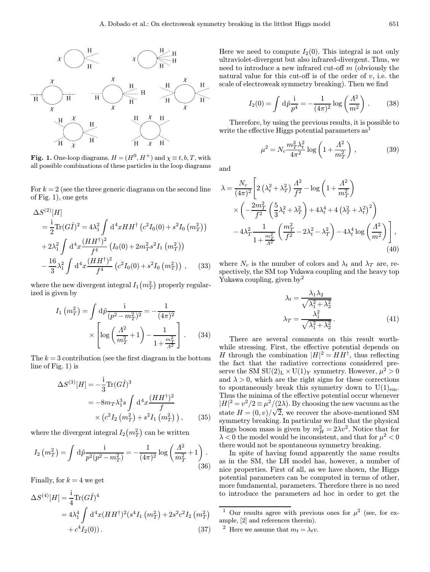

Fig. 1. One-loop diagrams.  $H = (H^0, H^+)$  and  $\chi \equiv t, b, T$ , with all possible combinations of these particles in the loop diagrams

For  $k = 2$  (see the three generic diagrams on the second line of Fig. 1), one gets

$$
\Delta S^{(2)}[H] \n= \frac{i}{2} \text{Tr}(G\hat{I})^2 = 4\lambda_1^2 \int d^4x HH^{\dagger} (c^2 I_0(0) + s^2 I_0 (m_T^2)) \n+ 2\lambda_1^2 \int d^4x \frac{(HH^{\dagger})^2}{f^4} (I_0(0) + 2m_T^2 s^2 I_1 (m_T^2)) \n- \frac{16}{3}\lambda_1^2 \int d^4x \frac{(HH^{\dagger})^2}{f^4} (c^2 I_0(0) + s^2 I_0 (m_T^2)),
$$
\n(33)

where the new divergent integral  $I_1\left(m_T^2\right)$  properly regularized is given by

$$
I_1\left(m_T^2\right) = \int d\tilde{p} \frac{i}{(p^2 - m_T^2)^2} = -\frac{1}{(4\pi)^2} \times \left[ \log \left(\frac{\Lambda^2}{m_T^2} + 1\right) - \frac{1}{1 + \frac{m_T^2}{\Lambda^2}} \right].
$$
 (34)

The  $k = 3$  contribution (see the first diagram in the bottom line of Fig. 1) is

$$
\Delta S^{(3)}[H] = -\frac{1}{3} \text{Tr}(G\hat{I})^3
$$
  
=  $-8m_T \lambda_1^3 s \int d^4x \frac{(HH^{\dagger})^2}{f}$   
 $\times (c^2 I_2 (m_T^2) + s^2 I_1 (m_T^2)),$  (35)

where the divergent integral  $I_2\left(m_T^2\right)$  can be written

$$
I_2\left(m_T^2\right) = \int \mathrm{d}\tilde{p} \frac{\mathrm{i}}{p^2(p^2 - m_T^2)} = -\frac{1}{(4\pi)^2} \log\left(\frac{\Lambda^2}{m_T^2} + 1\right). \tag{36}
$$

Finally, for  $k = 4$  we get

$$
\Delta S^{(4)}[H] = \frac{1}{4} \text{Tr}(G\hat{I})^4
$$
  
=  $4\lambda_1^4 \int d^4x (HH^{\dagger})^2 (s^4 I_1 (m_T^2) + 2s^2 c^2 I_2 (m_T^2) + c^4 I_2(0)).$  (37)

Here we need to compute  $I_2(0)$ . This integral is not only ultraviolet-divergent but also infrared-divergent. Thus, we need to introduce a new infrared cut-off m (obviously the natural value for this cut-off is of the order of  $v$ , i.e. the scale of electroweak symmetry breaking). Then we find

$$
I_2(0) = \int d\tilde{p} \frac{i}{p^4} = -\frac{1}{(4\pi)^2} \log \left(\frac{\Lambda^2}{m^2}\right).
$$
 (38)

Therefore, by using the previous results, it is possible to write the effective Higgs potential parameters  $as<sup>1</sup>$ 

$$
\mu^2 = N_c \frac{m_T^2 \lambda_t^2}{4\pi^2} \log \left( 1 + \frac{\Lambda^2}{m_T^2} \right) ,\qquad (39)
$$

and

$$
\lambda = \frac{N_c}{(4\pi)^2} \left[ 2\left(\lambda_t^2 + \lambda_T^2\right) \frac{\Lambda^2}{f^2} - \log\left(1 + \frac{\Lambda^2}{m_T^2}\right) \right] \times \left( -\frac{2m_T^2}{f^2} \left(\frac{5}{3}\lambda_t^2 + \lambda_T^2\right) + 4\lambda_t^4 + 4\left(\lambda_T^2 + \lambda_t^2\right)^2 \right) \right] \times -4\lambda_T^2 \frac{1}{1 + \frac{m_T^2}{\Lambda^2}} \left(\frac{m_T^2}{f^2} - 2\lambda_t^2 - \lambda_T^2\right) - 4\lambda_t^4 \log\left(\frac{\Lambda^2}{m^2}\right) \right],
$$
\n(40)

where  $N_c$  is the number of colors and  $\lambda_t$  and  $\lambda_T$  are, respectively, the SM top Yukawa coupling and the heavy top Yukawa coupling, given by<sup>2</sup>

$$
\lambda_t = \frac{\lambda_1 \lambda_2}{\sqrt{\lambda_1^2 + \lambda_2^2}}
$$

$$
\lambda_T = \frac{\lambda_1^2}{\sqrt{\lambda_1^2 + \lambda_2^2}}.
$$
(41)

There are several comments on this result worthwhile stressing. First, the effective potential depends on H through the combination  $|H|^2 = HH^{\dagger}$ , thus reflecting the fact that the radiative corrections considered preserve the SM  $SU(2)_L \times U(1)_Y$  symmetry. However,  $\mu^2 > 0$ and  $\lambda > 0$ , which are the right signs for these corrections to spontaneously break this symmetry down to  $U(1)_{em}$ . Thus the minima of the effective potential occur whenever  $|H|^2 = v^2/2 \equiv \mu^2/(2\lambda)$ . By choosing the new vacuum as the state  $H = (0, v) / \sqrt{2}$ , we recover the above-mentioned SM symmetry breaking. In particular we find that the physical Higgs boson mass is given by  $m_H^2 = 2\lambda v^2$ . Notice that for  $\lambda < 0$  the model would be inconsistent, and that for  $\mu^2 < 0$ there would not be spontaneous symmetry breaking.

In spite of having found apparently the same results as in the SM, the LH model has, however, a number of nice properties. First of all, as we have shown, the Higgs potential parameters can be computed in terms of other, more fundamental, parameters. Therefore there is no need to introduce the parameters ad hoc in order to get the

<sup>&</sup>lt;sup>1</sup> Our results agree with previous ones for  $\mu^2$  (see, for example, [2] and references therein).

<sup>&</sup>lt;sup>2</sup> Here we assume that  $m_t = \lambda_t v$ .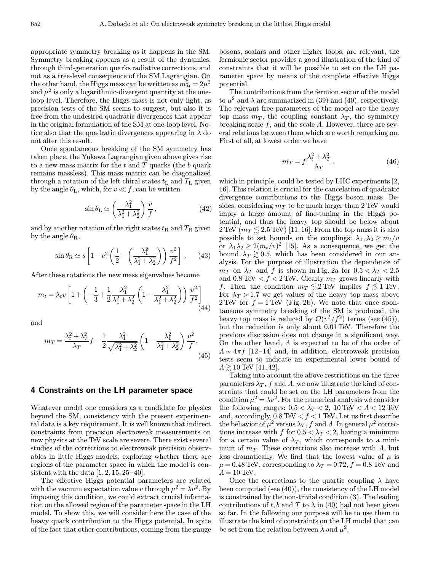appropriate symmetry breaking as it happens in the SM. Symmetry breaking appears as a result of the dynamics, through third-generation quarks radiative corrections, and not as a tree-level consequence of the SM Lagrangian. On the other hand, the Higgs mass can be written as  $m_H^2 = 2\mu^2$ and  $\mu^2$  is only a logarithmic-divergent quantity at the oneloop level. Therefore, the Higgs mass is not only light, as precision tests of the SM seems to suggest, but also it is free from the undesired quadratic divergences that appear in the original formulation of the SM at one-loop level. Notice also that the quadratic divergences appearing in  $\lambda$  do not alter this result.

Once spontaneous breaking of the SM symmetry has taken place, the Yukawa Lagrangian given above gives rise to a new mass matrix for the  $t$  and  $T$  quarks (the  $b$  quark remains massless). This mass matrix can be diagonalized through a rotation of the left chiral states  $t<sub>L</sub>$  and  $T<sub>L</sub>$  given by the angle  $\theta_{\text{L}}$ , which, for  $v \ll f$ , can be written

$$
\sin \theta_{\rm L} \simeq \left(\frac{\lambda_1^2}{\lambda_1^2 + \lambda_2^2}\right) \frac{v}{f},\tag{42}
$$

and by another rotation of the right states  $t_R$  and  $T_R$  given by the angle  $\theta_{\rm R}$ ,

$$
\sin \theta_{\rm R} \simeq s \left[ 1 - c^2 \left( \frac{1}{2} - \left( \frac{\lambda_1^2}{\lambda_1^2 + \lambda_2^2} \right) \right) \frac{v^2}{f^2} \right].
$$
 (43)

After these rotations the new mass eigenvalues become

$$
m_t = \lambda_t v \left[ 1 + \left( -\frac{1}{3} + \frac{1}{2} \frac{\lambda_1^2}{\lambda_1^2 + \lambda_2^2} \left( 1 - \frac{\lambda_1^2}{\lambda_1^2 + \lambda_2^2} \right) \right) \frac{v^2}{f^2} \right] \tag{44}
$$

and

$$
m_T = \frac{\lambda_t^2 + \lambda_T^2}{\lambda_T} f - \frac{1}{2} \frac{\lambda_1^2}{\sqrt{\lambda_1^2 + \lambda_2^2}} \left( 1 - \frac{\lambda_1^2}{\lambda_1^2 + \lambda_2^2} \right) \frac{v^2}{f}.
$$
\n(45)

#### 4 Constraints on the LH parameter space

Whatever model one considers as a candidate for physics beyond the SM, consistency with the present experimental data is a key requirement. It is well known that indirect constraints from precision electroweak measurements on new physics at the TeV scale are severe. There exist several studies of the corrections to electroweak precision observables in little Higgs models, exploring whether there are regions of the parameter space in which the model is consistent with the data  $[1, 2, 15, 25-40]$ .

The effective Higgs potential parameters are related with the vacuum expectation value v through  $\mu^2 = \lambda v^2$ . By imposing this condition, we could extract crucial information on the allowed region of the parameter space in the LH model. To show this, we will consider here the case of the heavy quark contribution to the Higgs potential. In spite of the fact that other contributions, coming from the gauge

bosons, scalars and other higher loops, are relevant, the fermionic sector provides a good illustration of the kind of constraints that it will be possible to set on the LH parameter space by means of the complete effective Higgs potential.

The contributions from the fermion sector of the model to  $\mu^2$  and  $\lambda$  are summarized in (39) and (40), respectively. The relevant free parameters of the model are the heavy top mass  $m<sub>T</sub>$ , the coupling constant  $\lambda<sub>T</sub>$ , the symmetry breaking scale f, and the scale  $\Lambda$ . However, there are several relations between them which are worth remarking on. First of all, at lowest order we have

$$
m_T = f \frac{\lambda_t^2 + \lambda_T^2}{\lambda_T},\tag{46}
$$

which in principle, could be tested by LHC experiments [2, 16]. This relation is crucial for the cancelation of quadratic divergence contributions to the Higgs boson mass. Besides, considering  $m<sub>T</sub>$  to be much larger than 2 TeV would imply a large amount of fine-tuning in the Higgs potential, and thus the heavy top should be below about 2 TeV ( $m_T \lesssim 2.5$  TeV) [11, 16]. From the top mass it is also possible to set bounds on the couplings:  $\lambda_1, \lambda_2 \geq m_t/v$ or  $\lambda_1 \lambda_2 \geq 2(m_t/v)^2$  [15]. As a consequence, we get the bound  $\lambda_T \gtrsim 0.5$ , which has been considered in our analysis. For the purpose of illustration the dependence of  $m_T$  on  $\lambda_T$  and f is shown in Fig. 2a for  $0.5 < \lambda_T < 2.5$ and 0.8 TeV < f < 2 TeV. Clearly  $m_T$  grows linearly with f. Then the condition  $m_T \lesssim 2 \text{ TeV}$  implies  $f \lesssim 1 \text{ TeV}$ . For  $\lambda_T > 1.7$  we get values of the heavy top mass above 2 TeV for  $f = 1$  TeV (Fig. 2b). We note that once spontaneous symmetry breaking of the SM is produced, the heavy top mass is reduced by  $\mathcal{O}(v^2/f^2)$  terms (see (45)), but the reduction is only about 0.01 TeV. Therefore the previous discussion does not change in a significant way. On the other hand, Λ is expected to be of the order of  $\Lambda \sim 4\pi f$  [12–14] and, in addition, electroweak precision tests seem to indicate an experimental lower bound of  $\Lambda \gtrsim 10 \,\text{TeV}$  [41, 42].

Taking into account the above restrictions on the three parameters  $\lambda_T$ , f and A, we now illustrate the kind of constraints that could be set on the LH parameters from the condition  $\mu^2 = \lambda v^2$ . For the numerical analysis we consider the following ranges:  $0.5 < \lambda_T < 2$ ,  $10 \text{ TeV} < \Lambda < 12 \text{ TeV}$ and, accordingly,  $0.8 \text{ TeV} < f < 1 \text{ TeV}$ . Let us first describe the behavior of  $\mu^2$  versus  $\lambda_T$ , f and  $\Lambda$ . In general  $\mu^2$  corrections increase with f for  $0.5 < \lambda_T < 2$ , having a minimum for a certain value of  $\lambda_T$ , which corresponds to a minimum of  $m<sub>T</sub>$ . These corrections also increase with  $\Lambda$ , but less dramatically. We find that the lowest value of  $\mu$  is  $\mu = 0.48$  TeV, corresponding to  $\lambda_T = 0.72$ ,  $f = 0.8$  TeV and  $\Lambda = 10$  TeV.

Once the corrections to the quartic coupling  $\lambda$  have been computed (see (40)), the consistency of the LH model is constrained by the non-trivial condition (3). The leading contributions of t, b and T to  $\lambda$  in (40) had not been given so far. In the following our purpose will be to use them to illustrate the kind of constraints on the LH model that can be set from the relation between  $\lambda$  and  $\mu^2$ .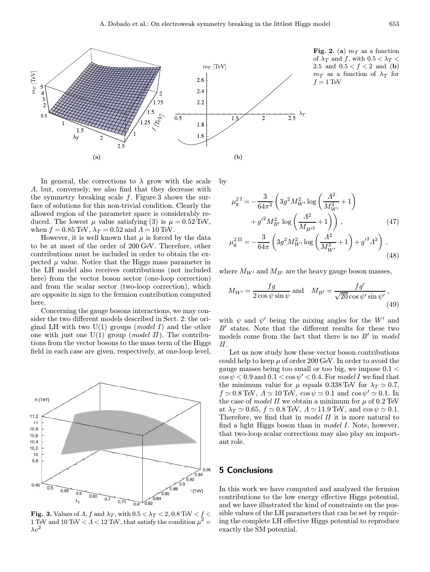

Fig. 2. (a)  $m<sub>T</sub>$  as a function of  $\lambda_T$  and f, with  $0.5 < \lambda_T <$ 2.5 and  $0.5 < f < 2$  and (b)  $m_T$  as a function of  $\lambda_T$  for  $f = 1$  TeV

In general, the corrections to  $\lambda$  grow with the scale Λ, but, conversely, we also find that they decrease with the symmetry breaking scale  $f$ . Figure 3 shows the surface of solutions for this non-trivial condition. Clearly the allowed region of the parameter space is considerably reduced. The lowest  $\mu$  value satisfying (3) is  $\mu = 0.52$  TeV, when  $f = 0.85$  TeV,  $\lambda_T = 0.52$  and  $\Lambda = 10$  TeV.

However, it is well known that  $\mu$  is forced by the data to be at most of the order of 200 GeV. Therefore, other contributions must be included in order to obtain the expected  $\mu$  value. Notice that the Higgs mass parameter in the LH model also receives contributions (not included here) from the vector boson sector (one-loop correction) and from the scalar sector (two-loop correction), which are opposite in sign to the fermion contribution computed here.

Concerning the gauge bosons interactions, we may consider the two different models described in Sect. 2: the original LH with two  $U(1)$  groups (*model I*) and the other one with just one  $U(1)$  group (*model II*). The contributions from the vector bosons to the mass term of the Higgs field in each case are given, respectively, at one-loop level,



Fig. 3. Values of  $\Lambda$ , f and  $\lambda_T$ , with  $0.5 < \lambda_T < 2$ ,  $0.8$  TeV  $< f <$ 1 TeV and 10 TeV  $\langle A \rangle$  12 TeV, that satisfy the condition  $\mu^2 =$  $\lambda v^2$ 

by

$$
\mu_{g}^{2 I} = -\frac{3}{64\pi^{2}} \left( 3g^{2} M_{W'}^{2} \log \left( \frac{\Lambda^{2}}{M_{W'}^{2}} + 1 \right) + g'^{2} M_{B'}^{2} \log \left( \frac{\Lambda^{2}}{M_{B'^{2}}} + 1 \right) \right), \qquad (47)
$$
  

$$
\mu_{g}^{2 II} = -\frac{3}{64\pi} \left( 3g^{2} M_{W'}^{2} \log \left( \frac{\Lambda^{2}}{M_{W'}^{2}} + 1 \right) + g'^{2} \Lambda^{2} \right), \qquad (48)
$$

where  $M_{W'}$  and  $M_{B'}$  are the heavy gauge boson masses,

$$
M_{W'} = \frac{fg}{2\cos\psi\sin\psi} \text{ and } M_{B'} = \frac{fg'}{\sqrt{20}\cos\psi'\sin\psi'},
$$
\n(49)

with  $\psi$  and  $\psi'$  being the mixing angles for the W' and  $B'$  states. Note that the different results for these two models come from the fact that there is no  $B'$  in model II.

Let us now study how these vector boson contributions could help to keep  $\mu$  of order 200 GeV. In order to avoid the gauge masses being too small or too big, we impose 0.1 <  $\cos\psi$  < 0.9 and 0.1 <  $\cos\psi'$  < 0.4. For model I we find that the minimum value for  $\mu$  equals 0.338 TeV for  $\lambda_T \simeq 0.7$ ,  $f \simeq 0.8$  TeV,  $\Lambda \simeq 10$  TeV,  $\cos \psi \simeq 0.1$  and  $\cos \psi' \simeq 0.1$ . In the case of model II we obtain a minimum for  $\mu$  of 0.2 TeV at  $\lambda_T \simeq 0.65$ ,  $f \simeq 0.8$  TeV,  $\Lambda \simeq 11.9$  TeV, and  $\cos \psi \simeq 0.1$ . Therefore, we find that in *model II* it is more natural to find a light Higgs boson than in *model I*. Note, however, that two-loop scalar corrections may also play an important role.

## 5 Conclusions

In this work we have computed and analyzed the fermion contributions to the low energy effective Higgs potential, and we have illustrated the kind of constraints on the possible values of the LH parameters that can be set by requiring the complete LH effective Higgs potential to reproduce exactly the SM potential.